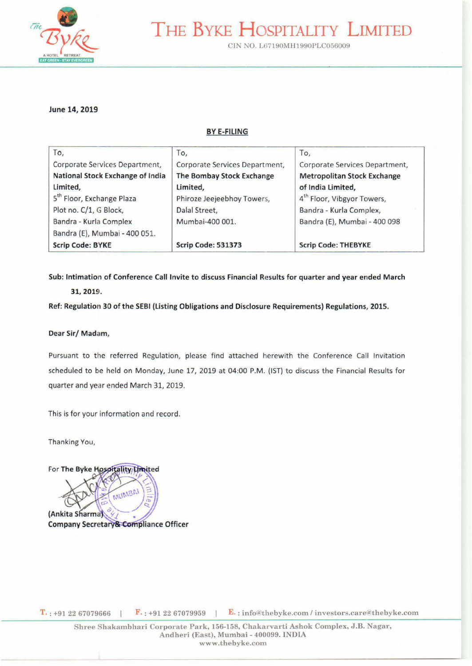

# THE BYKE HOSPITALITY LIMITED

CIN NO. L67190MH1990PLC056009

#### June 14, 2019

#### BYE-FILING

| To,                                   | To,                            | To,                                    |
|---------------------------------------|--------------------------------|----------------------------------------|
| Corporate Services Department,        | Corporate Services Department, | Corporate Services Department,         |
| National Stock Exchange of India      | The Bombay Stock Exchange      | <b>Metropolitan Stock Exchange</b>     |
| Limited,                              | Limited,                       | of India Limited,                      |
| 5 <sup>th</sup> Floor, Exchange Plaza | Phiroze Jeejeebhoy Towers,     | 4 <sup>th</sup> Floor, Vibgyor Towers, |
| Plot no. C/1, G Block,                | Dalal Street,                  | Bandra - Kurla Complex,                |
| Bandra - Kurla Complex                | Mumbai-400 001.                | Bandra (E), Mumbai - 400 098           |
| Bandra (E), Mumbai - 400 051.         |                                |                                        |
| <b>Scrip Code: BYKE</b>               | <b>Scrip Code: 531373</b>      | <b>Scrip Code: THEBYKE</b>             |

Sub: Intimation of Conference Call Invite to discuss Financial Results for quarter and year ended March

#### 31,2019.

Ref: Regulation 30 of the SEBI {listing Obligations and Disclosure Requirements) Regulations, 2015.

#### Dear Sir/ Madam,

Pursuant to the referred Regulation, please find attached herewith the Conference Call Invitation scheduled to be held on Monday, June 17, 2019 at 04:00 P.M . (1ST) to discuss the Financial Results for quarter and year ended March 31, 2019.

This is for your information and record.

Thanking You,

MUMBAI (Ankita Sharma) **Company Secretary& Compliance Officer** 

For The Byke Hospitality Limited

 $T_{\cdot}$ : +91 22 67079666 |  $F_{\cdot}$ : +91 22 67079959 |  $E_{\cdot}$ : info@thebyke.com / investors.care@thebyke.com